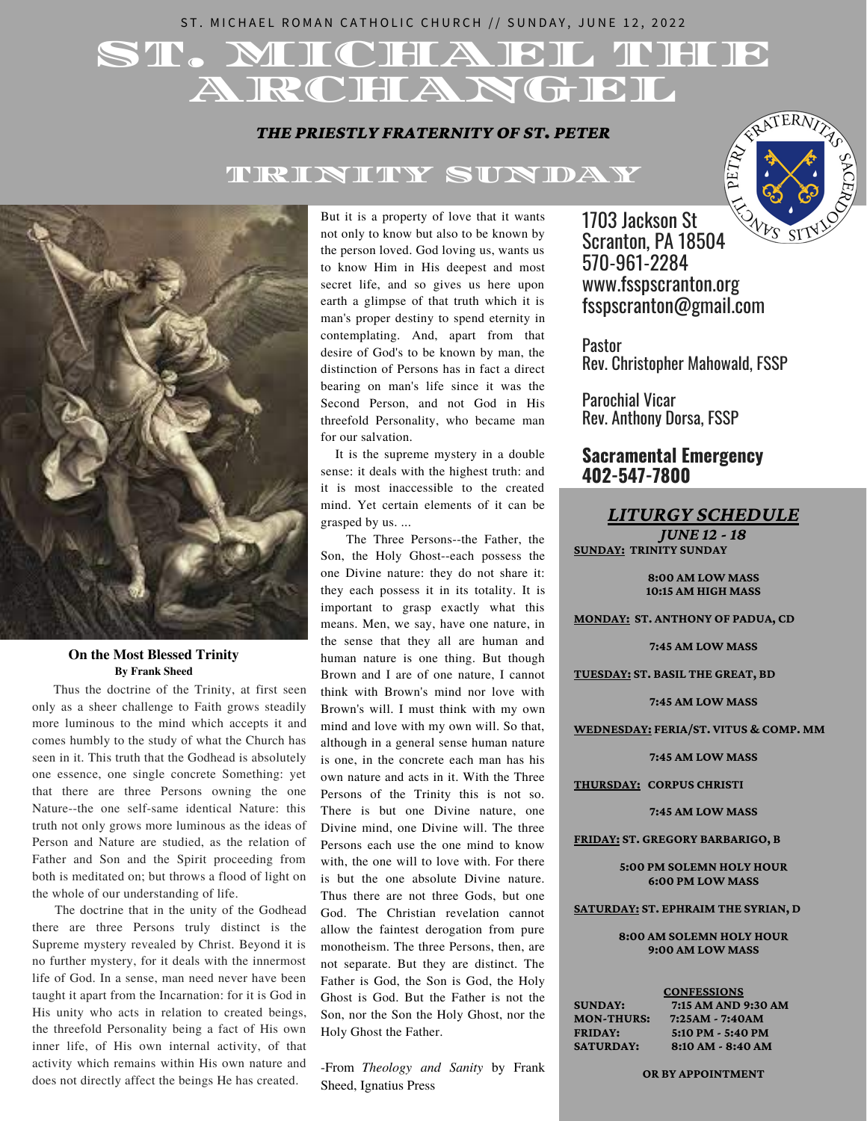# ST. MICHAEL THEF **ARCHANGEL**

#### *THE PRIESTLY FRATERNITY OF ST. PETER*

# TRINITY SUNDAY





#### **On the Most Blessed Trinity By Frank Sheed**

Thus the doctrine of the Trinity, at first seen only as a sheer challenge to Faith grows steadily more luminous to the mind which accepts it and comes humbly to the study of what the Church has seen in it. This truth that the Godhead is absolutely one essence, one single concrete Something: yet that there are three Persons owning the one Nature--the one self-same identical Nature: this truth not only grows more luminous as the ideas of Person and Nature are studied, as the relation of Father and Son and the Spirit proceeding from both is meditated on; but throws a flood of light on the whole of our understanding of life.

The doctrine that in the unity of the Godhead there are three Persons truly distinct is the Supreme mystery revealed by Christ. Beyond it is no further mystery, for it deals with the innermost life of God. In a sense, man need never have been taught it apart from the Incarnation: for it is God in His unity who acts in relation to created beings, the threefold Personality being a fact of His own inner life, of His own internal activity, of that activity which remains within His own nature and does not directly affect the beings He has created.

But it is a property of love that it wants not only to know but also to be known by the person loved. God loving us, wants us to know Him in His deepest and most secret life, and so gives us here upon earth a glimpse of that truth which it is man's proper destiny to spend eternity in contemplating. And, apart from that desire of God's to be known by man, the distinction of Persons has in fact a direct bearing on man's life since it was the Second Person, and not God in His threefold Personality, who became man for our salvation.

It is the supreme mystery in a double sense: it deals with the highest truth: and it is most inaccessible to the created mind. Yet certain elements of it can be grasped by us. ...

The Three Persons--the Father, the Son, the Holy Ghost--each possess the one Divine nature: they do not share it: they each possess it in its totality. It is important to grasp exactly what this means. Men, we say, have one nature, in the sense that they all are human and human nature is one thing. But though Brown and I are of one nature, I cannot think with Brown's mind nor love with Brown's will. I must think with my own mind and love with my own will. So that, although in a general sense human nature is one, in the concrete each man has his own nature and acts in it. With the Three Persons of the Trinity this is not so. There is but one Divine nature, one Divine mind, one Divine will. The three Persons each use the one mind to know with, the one will to love with. For there is but the one absolute Divine nature. Thus there are not three Gods, but one God. The Christian revelation cannot allow the faintest derogation from pure monotheism. The three Persons, then, are not separate. But they are distinct. The Father is God, the Son is God, the Holy Ghost is God. But the Father is not the Son, nor the Son the Holy Ghost, nor the Holy Ghost the Father.

-From *Theology and Sanity* by Frank Sheed, Ignatius Press

1703 Jackson St Scranton, PA 18504 570-961-2284 www.fsspscranton.org fsspscranton@gmail.com

Pastor Rev. Christopher Mahowald, FSSP

Parochial Vicar Rev. Anthony Dorsa, FSSP

## **Sacramental Emergency 402-547-7800**

*LITURGY SCHEDULE*

*JUNE 12 - 18* **SUNDAY: TRINITY SUNDAY**

> **8:00 AM LOW MASS 10:15 AM HIGH MASS**

**MONDAY: ST. ANTHONY OF PADUA, CD**

**7:45 AM LOW MASS**

**TUESDAY: ST. BASIL THE GREAT, BD**

**7:45 AM LOW MASS**

**WEDNESDAY: FERIA/ST. VITUS & COMP. MM**

**7:45 AM LOW MASS**

**THURSDAY: CORPUS CHRISTI**

**7:45 AM LOW MASS**

**FRIDAY: ST. GREGORY BARBARIGO, B**

**5:00 PM SOLEMN HOLY HOUR 6:00 PM LOW MASS**

**SATURDAY: ST. EPHRAIM THE SYRIAN, D**

**8:00 AM SOLEMN HOLY HOUR 9:00 AM LOW MASS**

|                   | <b>CONFESSIONS</b>  |
|-------------------|---------------------|
| <b>SUNDAY:</b>    | 7:15 AM AND 9:30 AM |
| <b>MON-THURS:</b> | 7:25AM - 7:40AM     |
| <b>FRIDAY:</b>    | 5:10 PM - 5:40 PM   |
| <b>SATURDAY:</b>  | 8:10 AM - 8:40 AM   |

**OR BY APPOINTMENT**